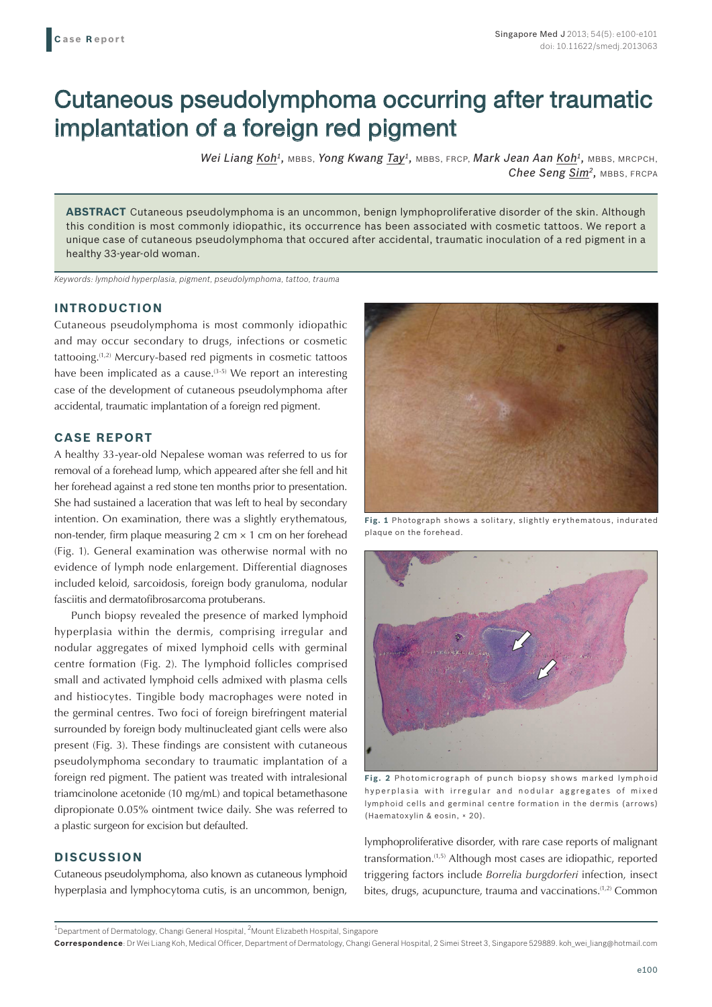# Cutaneous pseudolymphoma occurring after traumatic implantation of a foreign red pigment

*Wei Liang Koh1,* MBBS, *Yong Kwang Tay1,* MBBS, FRCP, *Mark Jean Aan Koh1,* MBBS, MRCPCH, *Chee Seng Sim2,* MBBS, FRCPA

**ABSTRACT** Cutaneous pseudolymphoma is an uncommon, benign lymphoproliferative disorder of the skin. Although this condition is most commonly idiopathic, its occurrence has been associated with cosmetic tattoos. We report a unique case of cutaneous pseudolymphoma that occured after accidental, traumatic inoculation of a red pigment in a healthy 33-year-old woman.

*Keywords: lymphoid hyperplasia, pigment, pseudolymphoma, tattoo, trauma*

### **INTRODUCTION**

Cutaneous pseudolymphoma is most commonly idiopathic and may occur secondary to drugs, infections or cosmetic tattooing.(1,2) Mercury-based red pigments in cosmetic tattoos have been implicated as a cause.<sup> $(3-5)$ </sup> We report an interesting case of the development of cutaneous pseudolymphoma after accidental, traumatic implantation of a foreign red pigment.

## **CASE REPORT**

A healthy 33-year-old Nepalese woman was referred to us for removal of a forehead lump, which appeared after she fell and hit her forehead against a red stone ten months prior to presentation. She had sustained a laceration that was left to heal by secondary intention. On examination, there was a slightly erythematous, non-tender, firm plaque measuring  $2 \text{ cm} \times 1 \text{ cm}$  on her forehead (Fig. 1). General examination was otherwise normal with no evidence of lymph node enlargement. Differential diagnoses included keloid, sarcoidosis, foreign body granuloma, nodular fasciitis and dermatofibrosarcoma protuberans.

Punch biopsy revealed the presence of marked lymphoid hyperplasia within the dermis, comprising irregular and nodular aggregates of mixed lymphoid cells with germinal centre formation (Fig. 2). The lymphoid follicles comprised small and activated lymphoid cells admixed with plasma cells and histiocytes. Tingible body macrophages were noted in the germinal centres. Two foci of foreign birefringent material surrounded by foreign body multinucleated giant cells were also present (Fig. 3). These findings are consistent with cutaneous pseudolymphoma secondary to traumatic implantation of a foreign red pigment. The patient was treated with intralesional triamcinolone acetonide (10 mg/mL) and topical betamethasone dipropionate 0.05% ointment twice daily. She was referred to a plastic surgeon for excision but defaulted.

## **DISCUSSION**

Cutaneous pseudolymphoma, also known as cutaneous lymphoid hyperplasia and lymphocytoma cutis, is an uncommon, benign,



**Fig. 1** Photograph shows a solitary, slightly erythematous, indurated plaque on the forehead.



**Fig. 2** Photomicrograph of punch biopsy shows marked lymphoid hyperplasia with irregular and nodular aggregates of mixed lymphoid cells and germinal centre formation in the dermis (arrows) (Haematoxylin & eosin, × 20).

lymphoproliferative disorder, with rare case reports of malignant transformation.(1,5) Although most cases are idiopathic, reported triggering factors include *Borrelia burgdorferi* infection, insect bites, drugs, acupuncture, trauma and vaccinations.<sup>(1,2)</sup> Common

 $^{\rm 1}$ Department of Dermatology, Changi General Hospital,  $^{\rm 2}$ Mount Elizabeth Hospital, Singapore

**Correspondence**: Dr Wei Liang Koh, Medical Officer, Department of Dermatology, Changi General Hospital, 2 Simei Street 3, Singapore 529889. koh\_wei\_liang@hotmail.com